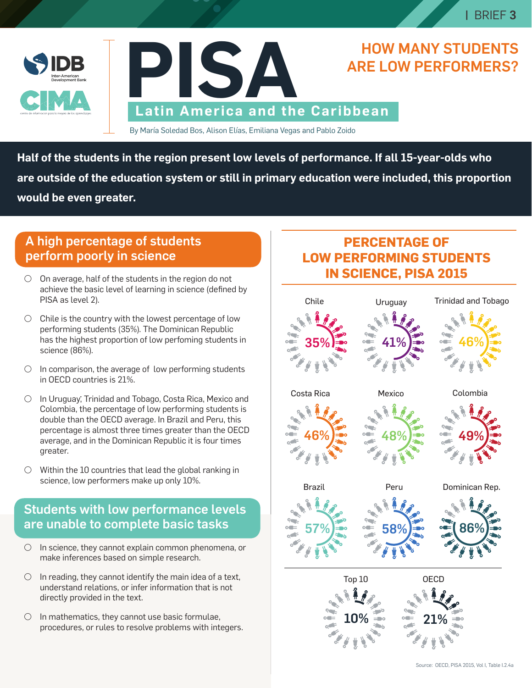



#### By María Soledad Bos, Alison Elías, Emiliana Vegas and Pablo Zoido .

**Half of the students in the region present low levels of performance. If all 15-year-olds who are outside of the education system or still in primary education were included, this proportion would be even greater.**

#### A high percentage of students perform poorly in science

- $\circ$  On average, half of the students in the region do not achieve the basic level of learning in science (defined by PISA as level 2).
- $\bigcirc$  Chile is the country with the lowest percentage of low performing students (35%). The Dominican Republic has the highest proportion of low perfoming students in science (86%).
- $\circ$  In comparison, the average of low performing students in OECD countries is 21%.
- D In Uruguay, Trinidad and Tobago, Costa Rica, Mexico and . Colombia, the percentage of low performing students is double than the OECD average. In Brazil and Peru, this percentage is almost three times greater than the OECD average, and in the Dominican Republic it is four times greater.
- $\circ$  Within the 10 countries that lead the global ranking in science, low performers make up only 10%.

# Students with low performance levels are unable to complete basic tasks

- $\circ$  In science, they cannot explain common phenomena, or make inferences based on simple research.
- $\circ$  In reading, they cannot identify the main idea of a text, understand relations, or infer information that is not directly provided in the text.
- $\circ$  In mathematics, they cannot use basic formulae, procedures, or rules to resolve problems with integers.

# **PERCENTAGE OF LOW PERFORMING STUDENTS IN SCIENCE, PISA 2015**

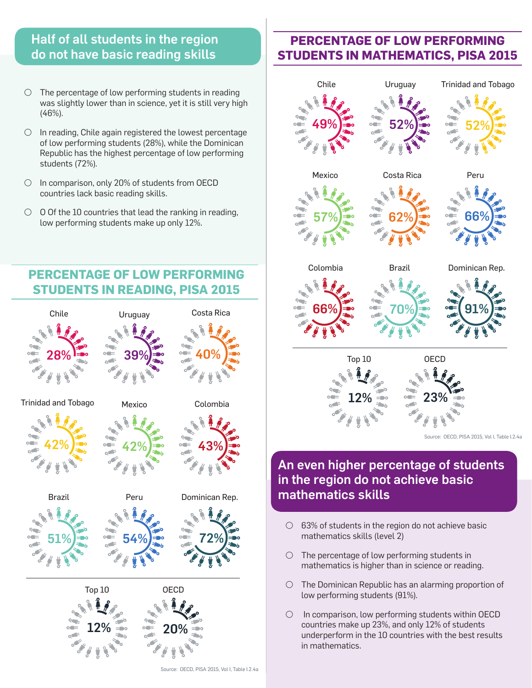#### Half of all students in the region do not have basic reading skills

- $\circ$  The percentage of low performing students in reading was slightly lower than in science, yet it is still very high (46%).
- $\circ$  In reading, Chile again registered the lowest percentage of low performing students (28%), while the Dominican Republic has the highest percentage of low performing students (72%).
- D In comparison, only 20% of students from OECD countries lack basic reading skills.
- $\circ$  0 Of the 10 countries that lead the ranking in reading, low performing students make up only 12%.

### **PERCENTAGE OF LOW PERFORMING STUDENTS IN READING, PISA 2015**



# **PERCENTAGE OF LOW PERFORMING STUDENTS IN MATHEMATICS, PISA 2015**



# in the region do not achieve basic mathematics skills

- $O$  63% of students in the region do not achieve basic mathematics skills (level 2)
- $\circ$  The percentage of low performing students in mathematics is higher than in science or reading.
- $\circ$  The Dominican Republic has an alarming proportion of low performing students (91%).
- $\circ$  In comparison, low performing students within OECD countries make up 23%, and only 12% of students underperform in the 10 countries with the best results in mathematics.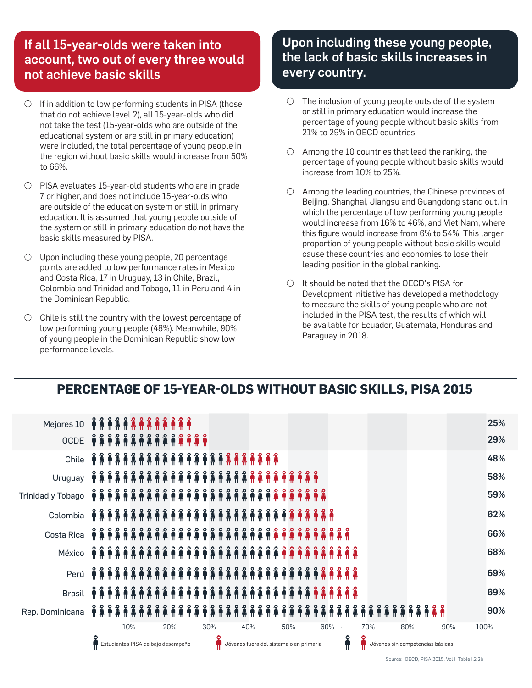### If all 15-year-olds were taken into account, two out of every three would not achieve basic skills

- $\circ$  If in addition to low performing students in PISA (those that do not achieve level 2), all 15-year-olds who did not take the test (15-year-olds who are outside of the educational system or are still in primary education) were included, the total percentage of young people in the region without basic skills would increase from 50% to 66%.
- $\circ$  PISA evaluates 15-year-old students who are in grade 7 or higher, and does not include 15-year-olds who are outside of the education system or still in primary education. It is assumed that young people outside of the system or still in primary education do not have the basic skills measured by PISA.
- $\circ$  Upon including these young people, 20 percentage points are added to low performance rates in Mexico and Costa Rica, 17 in Uruguay, 13 in Chile, Brazil, Colombia and Trinidad and Tobago, 11 in Peru and 4 in the Dominican Republic.
- $\circ$  Chile is still the country with the lowest percentage of low performing young people (48%). Meanwhile, 90% of young people in the Dominican Republic show low performance levels.

# Upon including these young people, the lack of basic skills increases in every country.

- $\bigcirc$  The inclusion of young people outside of the system or still in primary education would increase the percentage of young people without basic skills from 21% to 29% in OECD countries.
- $\bigcirc$  Among the 10 countries that lead the ranking, the percentage of young people without basic skills would increase from 10% to 25%.
- D Among the leading countries, the Chinese provinces of Beijing, Shanghai, Jiangsu and Guangdong stand out, in which the percentage of low performing young people would increase from 16% to 46%, and Viet Nam, where this figure would increase from 6% to 54%. This larger proportion of young people without basic skills would cause these countries and economies to lose their leading position in the global ranking.
- D It should be noted that the OECD's PISA for Development initiative has developed a methodology to measure the skills of young people who are not included in the PISA test, the results of which will be available for Ecuador, Guatemala, Honduras and Paraguay in 2018.

# **PERCENTAGE OF 15-YEAR-OLDS WITHOUT BASIC SKILLS, PISA 2015**

| Mejores 10 คิลิคิลิคิลิคิลิคิลิคิลิ |     |  |  |  |  |                                    |  |  |  |     |            |  |     |  |  |  |  |  |  |     |  |                                         |  |     |  |  |  |     |            |  |  |  |            |                                  |  |  |  |  |      |  |  |  | 25% |
|-------------------------------------|-----|--|--|--|--|------------------------------------|--|--|--|-----|------------|--|-----|--|--|--|--|--|--|-----|--|-----------------------------------------|--|-----|--|--|--|-----|------------|--|--|--|------------|----------------------------------|--|--|--|--|------|--|--|--|-----|
| OCDE AAAAAAAAAAA                    |     |  |  |  |  |                                    |  |  |  |     | <b>AAA</b> |  |     |  |  |  |  |  |  |     |  |                                         |  |     |  |  |  |     |            |  |  |  |            |                                  |  |  |  |  |      |  |  |  | 29% |
|                                     |     |  |  |  |  |                                    |  |  |  |     |            |  |     |  |  |  |  |  |  |     |  |                                         |  |     |  |  |  |     |            |  |  |  |            |                                  |  |  |  |  |      |  |  |  | 48% |
|                                     |     |  |  |  |  |                                    |  |  |  |     |            |  |     |  |  |  |  |  |  |     |  |                                         |  |     |  |  |  |     |            |  |  |  |            |                                  |  |  |  |  |      |  |  |  | 58% |
|                                     |     |  |  |  |  |                                    |  |  |  |     |            |  |     |  |  |  |  |  |  |     |  |                                         |  |     |  |  |  |     |            |  |  |  |            |                                  |  |  |  |  |      |  |  |  | 59% |
|                                     |     |  |  |  |  |                                    |  |  |  |     |            |  |     |  |  |  |  |  |  |     |  |                                         |  |     |  |  |  |     |            |  |  |  |            |                                  |  |  |  |  |      |  |  |  | 62% |
|                                     |     |  |  |  |  |                                    |  |  |  |     |            |  |     |  |  |  |  |  |  |     |  |                                         |  |     |  |  |  |     |            |  |  |  |            |                                  |  |  |  |  |      |  |  |  | 66% |
|                                     |     |  |  |  |  |                                    |  |  |  |     |            |  |     |  |  |  |  |  |  |     |  |                                         |  |     |  |  |  |     |            |  |  |  |            |                                  |  |  |  |  |      |  |  |  | 68% |
| Perú 希鲁希鲁希鲁希鲁希鲁希鲁希鲁希鲁希鲁鲁鲁鲁鲁鲁鲁鲁鲁鲁    |     |  |  |  |  |                                    |  |  |  |     |            |  |     |  |  |  |  |  |  |     |  |                                         |  |     |  |  |  |     |            |  |  |  |            |                                  |  |  |  |  |      |  |  |  | 69% |
| <b>Brasil</b>                       |     |  |  |  |  |                                    |  |  |  |     |            |  |     |  |  |  |  |  |  |     |  |                                         |  |     |  |  |  |     | <b>APA</b> |  |  |  |            |                                  |  |  |  |  |      |  |  |  | 69% |
| Rep. Dominicana                     |     |  |  |  |  |                                    |  |  |  |     |            |  |     |  |  |  |  |  |  |     |  |                                         |  |     |  |  |  |     |            |  |  |  |            |                                  |  |  |  |  |      |  |  |  | 90% |
|                                     | 10% |  |  |  |  | 20%                                |  |  |  | 30% |            |  | 40% |  |  |  |  |  |  | 50% |  |                                         |  | 60% |  |  |  | 70% |            |  |  |  | 80%<br>90% |                                  |  |  |  |  | 100% |  |  |  |     |
|                                     |     |  |  |  |  | Estudiantes PISA de bajo desempeño |  |  |  |     |            |  |     |  |  |  |  |  |  |     |  | Jóvenes fuera del sistema o en primaria |  |     |  |  |  |     |            |  |  |  |            | Jóvenes sin competencias básicas |  |  |  |  |      |  |  |  |     |